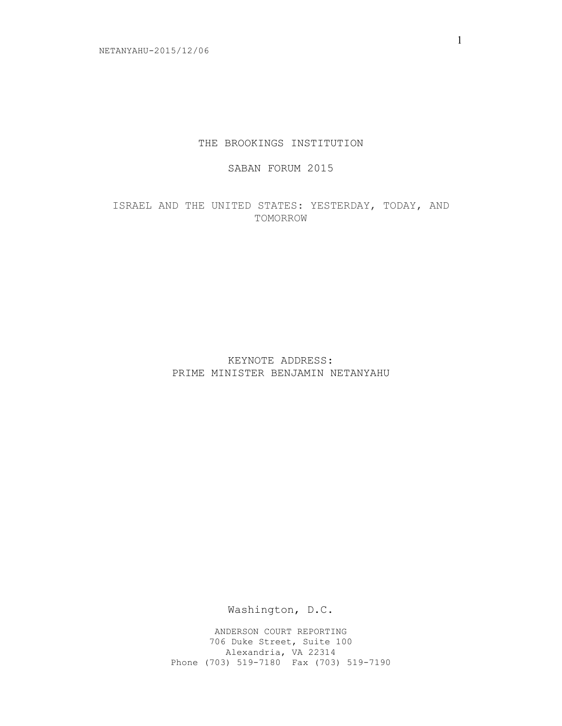## THE BROOKINGS INSTITUTION

# SABAN FORUM 2015

ISRAEL AND THE UNITED STATES: YESTERDAY, TODAY, AND TOMORROW

> KEYNOTE ADDRESS: PRIME MINISTER BENJAMIN NETANYAHU

> > Washington, D.C.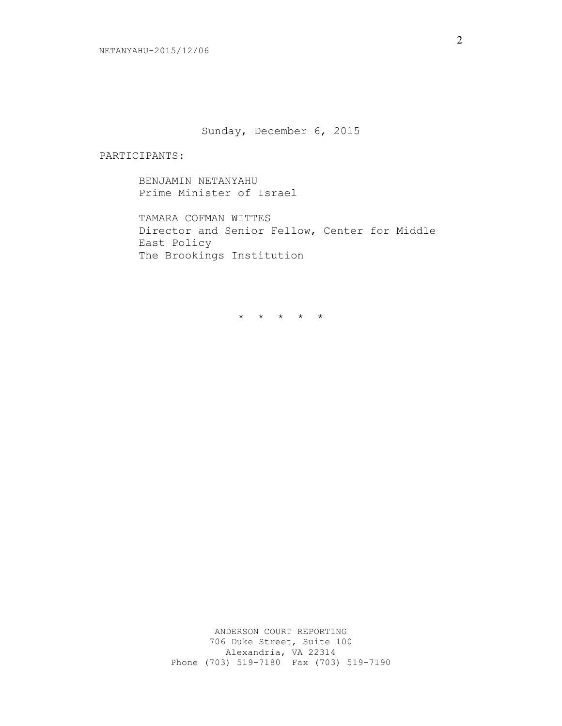Sunday, December 6, 2015

#### PARTICIPANTS:

BENJAMIN NETANYAHU Prime Minister of Israel

TAMARA COFMAN WITTES Director and Senior Fellow, Center for Middle East Policy The Brookings Institution

\* \* \* \* \*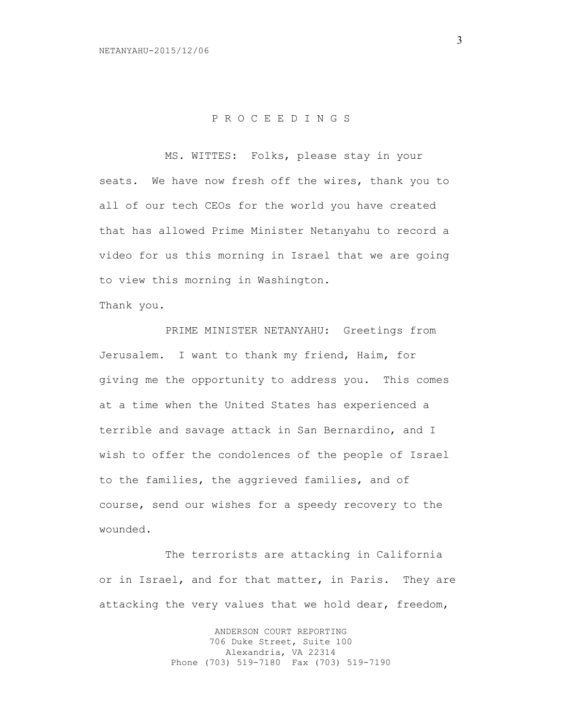## P R O C E E D I N G S

MS. WITTES: Folks, please stay in your seats. We have now fresh off the wires, thank you to all of our tech CEOs for the world you have created that has allowed Prime Minister Netanyahu to record a video for us this morning in Israel that we are going to view this morning in Washington.

Thank you.

PRIME MINISTER NETANYAHU: Greetings from Jerusalem. I want to thank my friend, Haim, for giving me the opportunity to address you. This comes at a time when the United States has experienced a terrible and savage attack in San Bernardino, and I wish to offer the condolences of the people of Israel to the families, the aggrieved families, and of course, send our wishes for a speedy recovery to the wounded.

The terrorists are attacking in California or in Israel, and for that matter, in Paris. They are attacking the very values that we hold dear, freedom,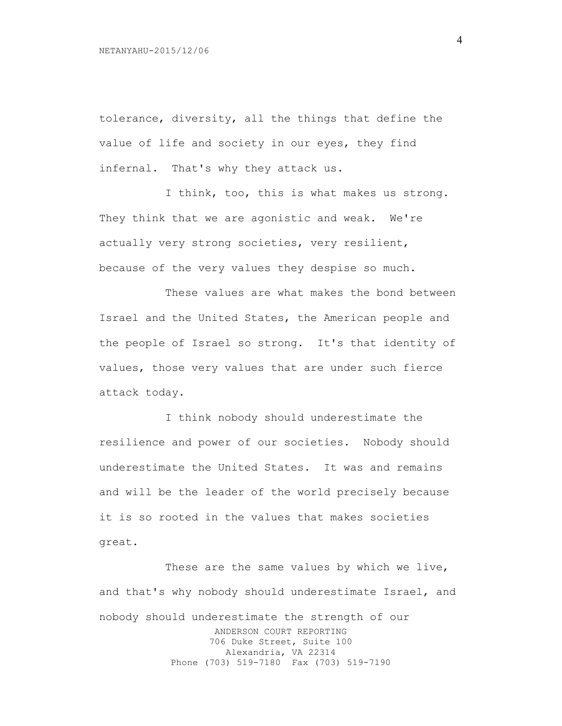tolerance, diversity, all the things that define the value of life and society in our eyes, they find infernal. That's why they attack us.

I think, too, this is what makes us strong. They think that we are agonistic and weak. We're actually very strong societies, very resilient, because of the very values they despise so much.

These values are what makes the bond between Israel and the United States, the American people and the people of Israel so strong. It's that identity of values, those very values that are under such fierce attack today.

I think nobody should underestimate the resilience and power of our societies. Nobody should underestimate the United States. It was and remains and will be the leader of the world precisely because it is so rooted in the values that makes societies great.

ANDERSON COURT REPORTING 706 Duke Street, Suite 100 Alexandria, VA 22314 Phone (703) 519-7180 Fax (703) 519-7190 These are the same values by which we live, and that's why nobody should underestimate Israel, and nobody should underestimate the strength of our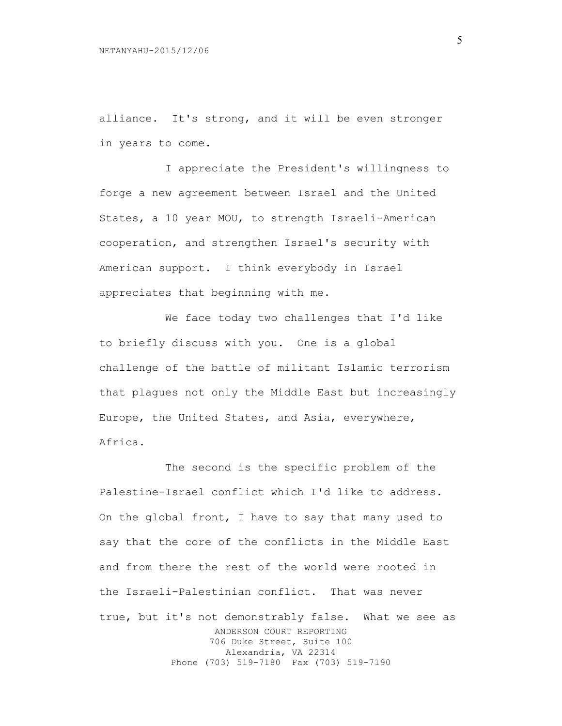alliance. It's strong, and it will be even stronger in years to come.

I appreciate the President's willingness to forge a new agreement between Israel and the United States, a 10 year MOU, to strength Israeli-American cooperation, and strengthen Israel's security with American support. I think everybody in Israel appreciates that beginning with me.

We face today two challenges that I'd like to briefly discuss with you. One is a global challenge of the battle of militant Islamic terrorism that plagues not only the Middle East but increasingly Europe, the United States, and Asia, everywhere, Africa.

ANDERSON COURT REPORTING 706 Duke Street, Suite 100 Alexandria, VA 22314 Phone (703) 519-7180 Fax (703) 519-7190 The second is the specific problem of the Palestine-Israel conflict which I'd like to address. On the global front, I have to say that many used to say that the core of the conflicts in the Middle East and from there the rest of the world were rooted in the Israeli-Palestinian conflict. That was never true, but it's not demonstrably false. What we see as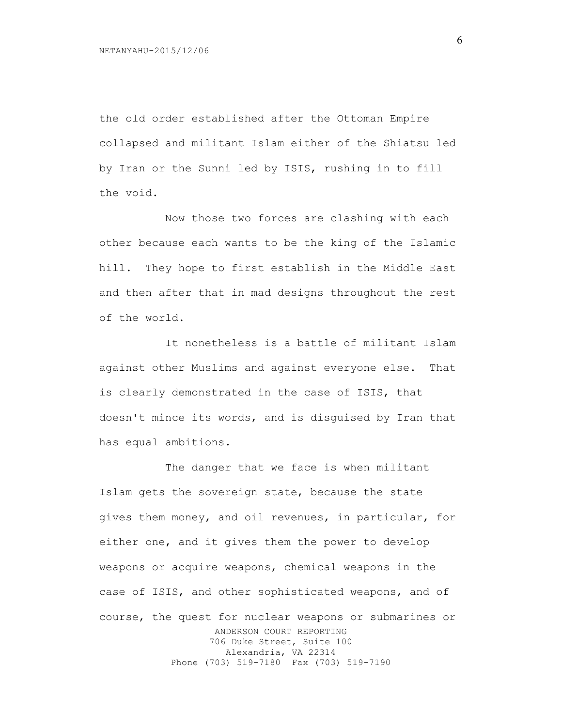the old order established after the Ottoman Empire collapsed and militant Islam either of the Shiatsu led by Iran or the Sunni led by ISIS, rushing in to fill the void.

Now those two forces are clashing with each other because each wants to be the king of the Islamic hill. They hope to first establish in the Middle East and then after that in mad designs throughout the rest of the world.

It nonetheless is a battle of militant Islam against other Muslims and against everyone else. That is clearly demonstrated in the case of ISIS, that doesn't mince its words, and is disguised by Iran that has equal ambitions.

ANDERSON COURT REPORTING 706 Duke Street, Suite 100 Alexandria, VA 22314 Phone (703) 519-7180 Fax (703) 519-7190 The danger that we face is when militant Islam gets the sovereign state, because the state gives them money, and oil revenues, in particular, for either one, and it gives them the power to develop weapons or acquire weapons, chemical weapons in the case of ISIS, and other sophisticated weapons, and of course, the quest for nuclear weapons or submarines or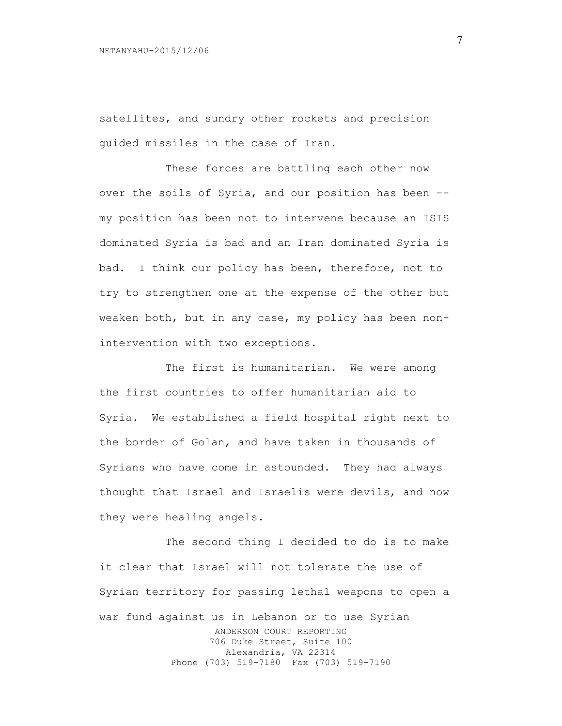satellites, and sundry other rockets and precision guided missiles in the case of Iran.

These forces are battling each other now over the soils of Syria, and our position has been - my position has been not to intervene because an ISIS dominated Syria is bad and an Iran dominated Syria is bad. I think our policy has been, therefore, not to try to strengthen one at the expense of the other but weaken both, but in any case, my policy has been nonintervention with two exceptions.

The first is humanitarian. We were among the first countries to offer humanitarian aid to Syria. We established a field hospital right next to the border of Golan, and have taken in thousands of Syrians who have come in astounded. They had always thought that Israel and Israelis were devils, and now they were healing angels.

ANDERSON COURT REPORTING 706 Duke Street, Suite 100 Alexandria, VA 22314 Phone (703) 519-7180 Fax (703) 519-7190 The second thing I decided to do is to make it clear that Israel will not tolerate the use of Syrian territory for passing lethal weapons to open a war fund against us in Lebanon or to use Syrian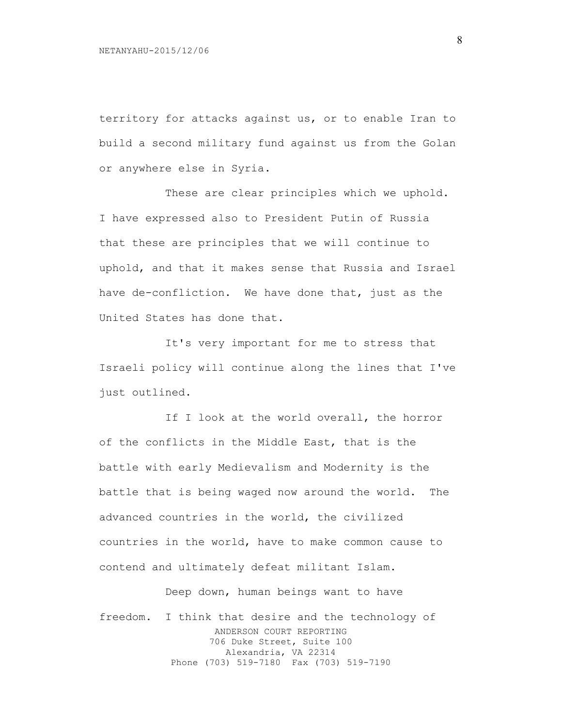territory for attacks against us, or to enable Iran to build a second military fund against us from the Golan or anywhere else in Syria.

These are clear principles which we uphold. I have expressed also to President Putin of Russia that these are principles that we will continue to uphold, and that it makes sense that Russia and Israel have de-confliction. We have done that, just as the United States has done that.

It's very important for me to stress that Israeli policy will continue along the lines that I've just outlined.

If I look at the world overall, the horror of the conflicts in the Middle East, that is the battle with early Medievalism and Modernity is the battle that is being waged now around the world. The advanced countries in the world, the civilized countries in the world, have to make common cause to contend and ultimately defeat militant Islam.

ANDERSON COURT REPORTING 706 Duke Street, Suite 100 Alexandria, VA 22314 Phone (703) 519-7180 Fax (703) 519-7190 Deep down, human beings want to have freedom. I think that desire and the technology of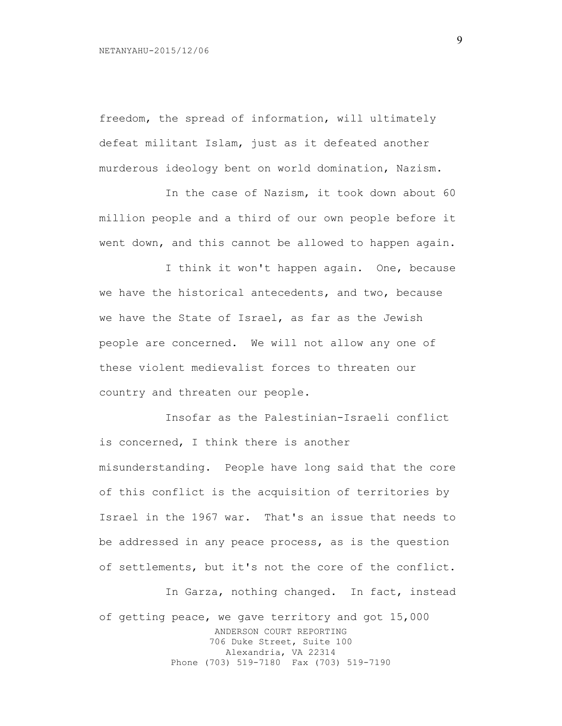freedom, the spread of information, will ultimately defeat militant Islam, just as it defeated another murderous ideology bent on world domination, Nazism.

In the case of Nazism, it took down about 60 million people and a third of our own people before it went down, and this cannot be allowed to happen again.

I think it won't happen again. One, because we have the historical antecedents, and two, because we have the State of Israel, as far as the Jewish people are concerned. We will not allow any one of these violent medievalist forces to threaten our country and threaten our people.

Insofar as the Palestinian-Israeli conflict is concerned, I think there is another misunderstanding. People have long said that the core of this conflict is the acquisition of territories by Israel in the 1967 war. That's an issue that needs to be addressed in any peace process, as is the question of settlements, but it's not the core of the conflict.

ANDERSON COURT REPORTING 706 Duke Street, Suite 100 Alexandria, VA 22314 Phone (703) 519-7180 Fax (703) 519-7190 In Garza, nothing changed. In fact, instead of getting peace, we gave territory and got 15,000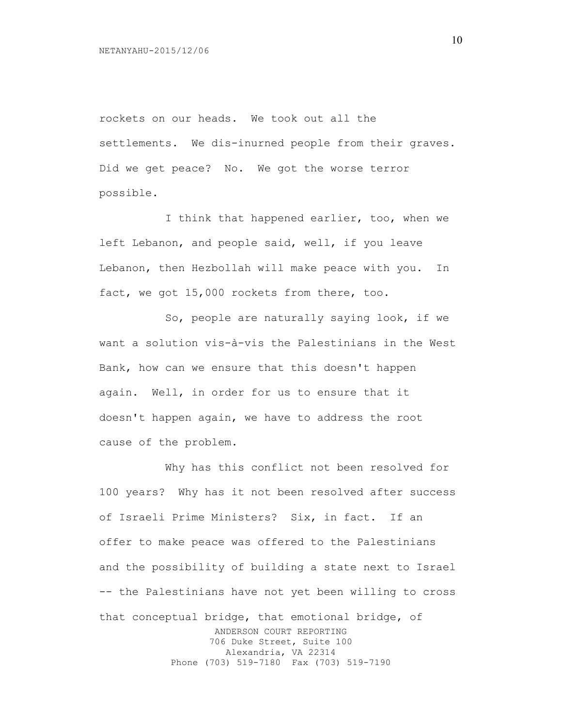rockets on our heads. We took out all the settlements. We dis-inurned people from their graves. Did we get peace? No. We got the worse terror possible.

I think that happened earlier, too, when we left Lebanon, and people said, well, if you leave Lebanon, then Hezbollah will make peace with you. In fact, we got 15,000 rockets from there, too.

So, people are naturally saying look, if we want a solution vis-à-vis the Palestinians in the West Bank, how can we ensure that this doesn't happen again. Well, in order for us to ensure that it doesn't happen again, we have to address the root cause of the problem.

ANDERSON COURT REPORTING 706 Duke Street, Suite 100 Alexandria, VA 22314 Phone (703) 519-7180 Fax (703) 519-7190 Why has this conflict not been resolved for 100 years? Why has it not been resolved after success of Israeli Prime Ministers? Six, in fact. If an offer to make peace was offered to the Palestinians and the possibility of building a state next to Israel -- the Palestinians have not yet been willing to cross that conceptual bridge, that emotional bridge, of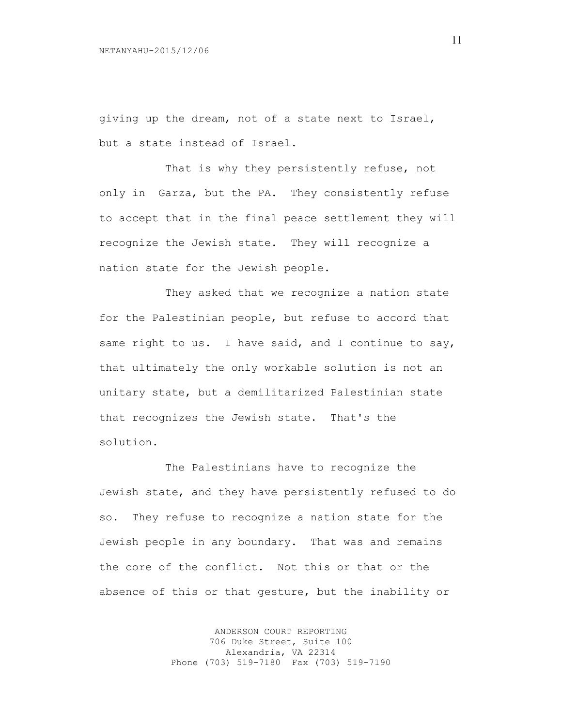giving up the dream, not of a state next to Israel, but a state instead of Israel.

That is why they persistently refuse, not only in Garza, but the PA. They consistently refuse to accept that in the final peace settlement they will recognize the Jewish state. They will recognize a nation state for the Jewish people.

They asked that we recognize a nation state for the Palestinian people, but refuse to accord that same right to us. I have said, and I continue to say, that ultimately the only workable solution is not an unitary state, but a demilitarized Palestinian state that recognizes the Jewish state. That's the solution.

The Palestinians have to recognize the Jewish state, and they have persistently refused to do so. They refuse to recognize a nation state for the Jewish people in any boundary. That was and remains the core of the conflict. Not this or that or the absence of this or that gesture, but the inability or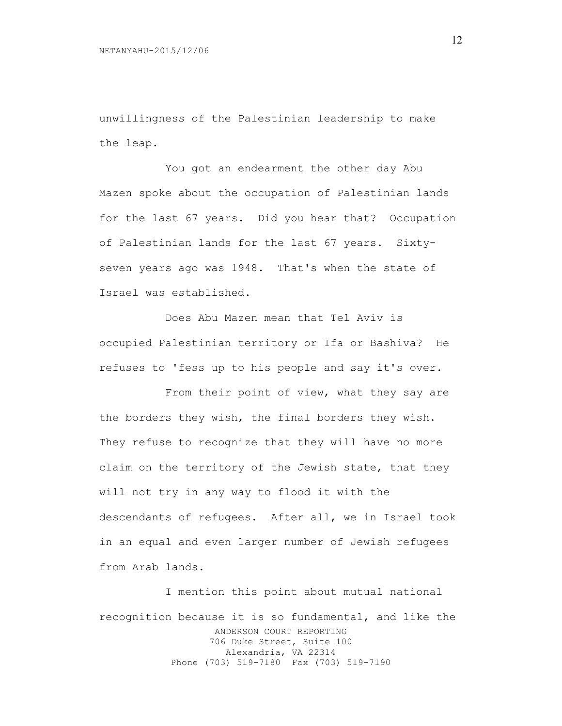unwillingness of the Palestinian leadership to make the leap.

You got an endearment the other day Abu Mazen spoke about the occupation of Palestinian lands for the last 67 years. Did you hear that? Occupation of Palestinian lands for the last 67 years. Sixtyseven years ago was 1948. That's when the state of Israel was established.

Does Abu Mazen mean that Tel Aviv is occupied Palestinian territory or Ifa or Bashiva? He refuses to 'fess up to his people and say it's over.

From their point of view, what they say are the borders they wish, the final borders they wish. They refuse to recognize that they will have no more claim on the territory of the Jewish state, that they will not try in any way to flood it with the descendants of refugees. After all, we in Israel took in an equal and even larger number of Jewish refugees from Arab lands.

ANDERSON COURT REPORTING 706 Duke Street, Suite 100 Alexandria, VA 22314 Phone (703) 519-7180 Fax (703) 519-7190 I mention this point about mutual national recognition because it is so fundamental, and like the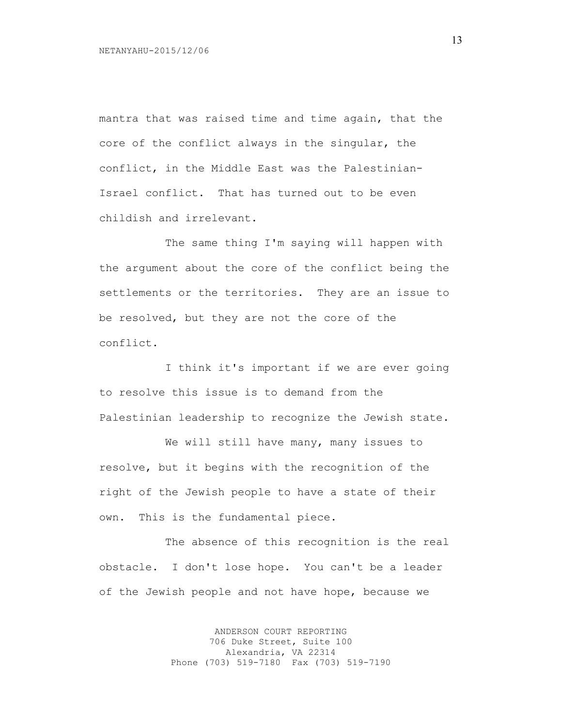mantra that was raised time and time again, that the core of the conflict always in the singular, the conflict, in the Middle East was the Palestinian-Israel conflict. That has turned out to be even childish and irrelevant.

The same thing I'm saying will happen with the argument about the core of the conflict being the settlements or the territories. They are an issue to be resolved, but they are not the core of the conflict.

I think it's important if we are ever going to resolve this issue is to demand from the Palestinian leadership to recognize the Jewish state.

We will still have many, many issues to resolve, but it begins with the recognition of the right of the Jewish people to have a state of their own. This is the fundamental piece.

The absence of this recognition is the real obstacle. I don't lose hope. You can't be a leader of the Jewish people and not have hope, because we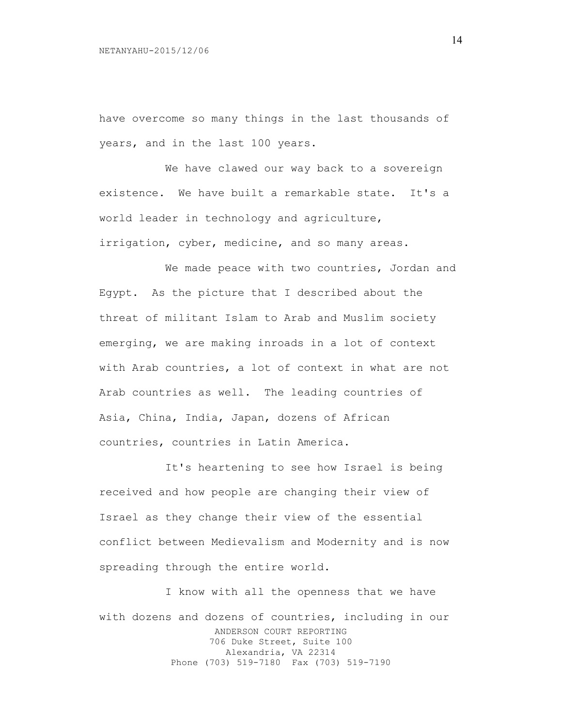have overcome so many things in the last thousands of years, and in the last 100 years.

We have clawed our way back to a sovereign existence. We have built a remarkable state. It's a world leader in technology and agriculture, irrigation, cyber, medicine, and so many areas.

We made peace with two countries, Jordan and Egypt. As the picture that I described about the threat of militant Islam to Arab and Muslim society emerging, we are making inroads in a lot of context with Arab countries, a lot of context in what are not Arab countries as well. The leading countries of Asia, China, India, Japan, dozens of African countries, countries in Latin America.

It's heartening to see how Israel is being received and how people are changing their view of Israel as they change their view of the essential conflict between Medievalism and Modernity and is now spreading through the entire world.

ANDERSON COURT REPORTING 706 Duke Street, Suite 100 Alexandria, VA 22314 Phone (703) 519-7180 Fax (703) 519-7190 I know with all the openness that we have with dozens and dozens of countries, including in our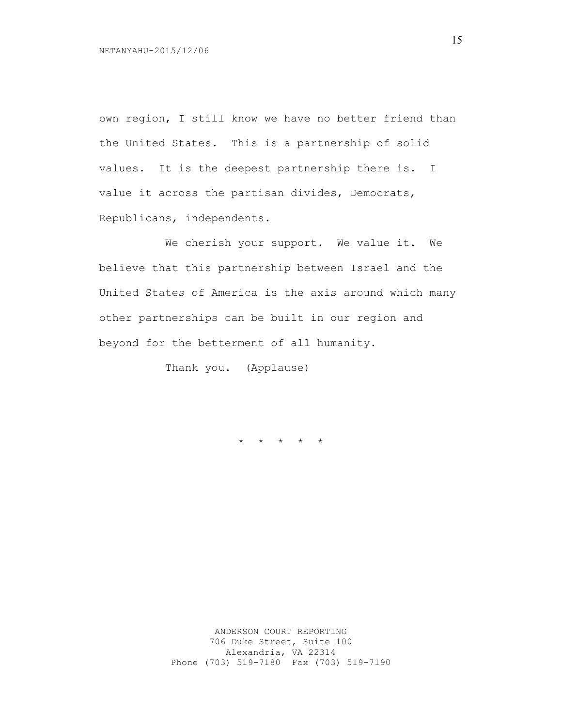own region, I still know we have no better friend than the United States. This is a partnership of solid values. It is the deepest partnership there is. I value it across the partisan divides, Democrats, Republicans, independents.

We cherish your support. We value it. We believe that this partnership between Israel and the United States of America is the axis around which many other partnerships can be built in our region and beyond for the betterment of all humanity.

Thank you. (Applause)

\* \* \* \* \*

15